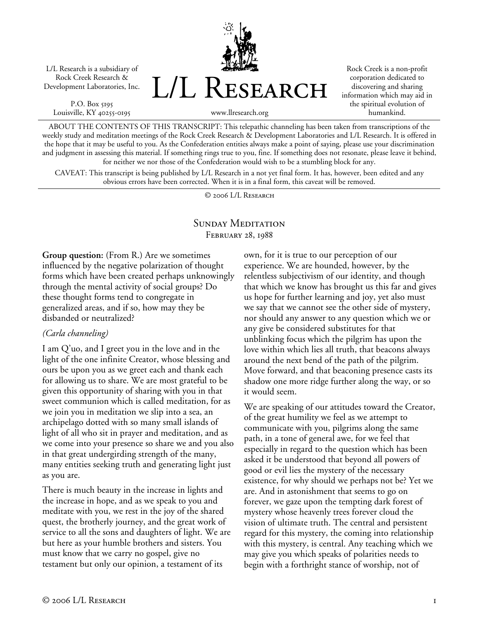L/L Research is a subsidiary of Rock Creek Research & Development Laboratories, Inc.

P.O. Box 5195 Louisville, KY 40255-0195 L/L Research

Rock Creek is a non-profit corporation dedicated to discovering and sharing information which may aid in the spiritual evolution of humankind.

www.llresearch.org

ABOUT THE CONTENTS OF THIS TRANSCRIPT: This telepathic channeling has been taken from transcriptions of the weekly study and meditation meetings of the Rock Creek Research & Development Laboratories and L/L Research. It is offered in the hope that it may be useful to you. As the Confederation entities always make a point of saying, please use your discrimination and judgment in assessing this material. If something rings true to you, fine. If something does not resonate, please leave it behind, for neither we nor those of the Confederation would wish to be a stumbling block for any.

CAVEAT: This transcript is being published by L/L Research in a not yet final form. It has, however, been edited and any obvious errors have been corrected. When it is in a final form, this caveat will be removed.

© 2006 L/L Research

### SUNDAY MEDITATION February 28, 1988

**Group question:** (From R.) Are we sometimes influenced by the negative polarization of thought forms which have been created perhaps unknowingly through the mental activity of social groups? Do these thought forms tend to congregate in generalized areas, and if so, how may they be disbanded or neutralized?

### *(Carla channeling)*

I am Q'uo, and I greet you in the love and in the light of the one infinite Creator, whose blessing and ours be upon you as we greet each and thank each for allowing us to share. We are most grateful to be given this opportunity of sharing with you in that sweet communion which is called meditation, for as we join you in meditation we slip into a sea, an archipelago dotted with so many small islands of light of all who sit in prayer and meditation, and as we come into your presence so share we and you also in that great undergirding strength of the many, many entities seeking truth and generating light just as you are.

There is much beauty in the increase in lights and the increase in hope, and as we speak to you and meditate with you, we rest in the joy of the shared quest, the brotherly journey, and the great work of service to all the sons and daughters of light. We are but here as your humble brothers and sisters. You must know that we carry no gospel, give no testament but only our opinion, a testament of its

own, for it is true to our perception of our experience. We are hounded, however, by the relentless subjectivism of our identity, and though that which we know has brought us this far and gives us hope for further learning and joy, yet also must we say that we cannot see the other side of mystery, nor should any answer to any question which we or any give be considered substitutes for that unblinking focus which the pilgrim has upon the love within which lies all truth, that beacons always around the next bend of the path of the pilgrim. Move forward, and that beaconing presence casts its shadow one more ridge further along the way, or so it would seem.

We are speaking of our attitudes toward the Creator, of the great humility we feel as we attempt to communicate with you, pilgrims along the same path, in a tone of general awe, for we feel that especially in regard to the question which has been asked it be understood that beyond all powers of good or evil lies the mystery of the necessary existence, for why should we perhaps not be? Yet we are. And in astonishment that seems to go on forever, we gaze upon the tempting dark forest of mystery whose heavenly trees forever cloud the vision of ultimate truth. The central and persistent regard for this mystery, the coming into relationship with this mystery, is central. Any teaching which we may give you which speaks of polarities needs to begin with a forthright stance of worship, not of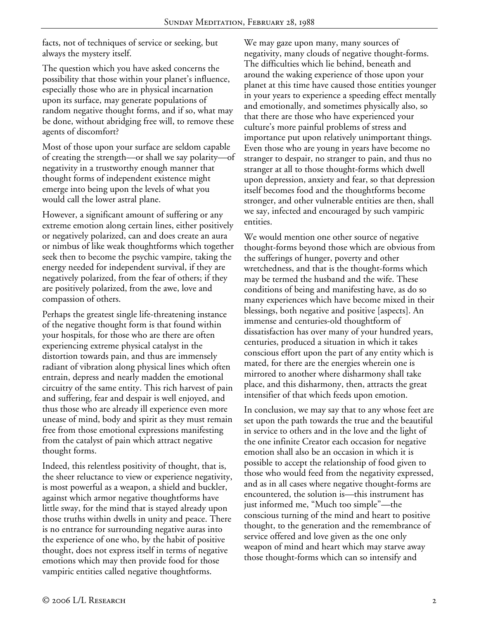facts, not of techniques of service or seeking, but always the mystery itself.

The question which you have asked concerns the possibility that those within your planet's influence, especially those who are in physical incarnation upon its surface, may generate populations of random negative thought forms, and if so, what may be done, without abridging free will, to remove these agents of discomfort?

Most of those upon your surface are seldom capable of creating the strength—or shall we say polarity—of negativity in a trustworthy enough manner that thought forms of independent existence might emerge into being upon the levels of what you would call the lower astral plane.

However, a significant amount of suffering or any extreme emotion along certain lines, either positively or negatively polarized, can and does create an aura or nimbus of like weak thoughtforms which together seek then to become the psychic vampire, taking the energy needed for independent survival, if they are negatively polarized, from the fear of others; if they are positively polarized, from the awe, love and compassion of others.

Perhaps the greatest single life-threatening instance of the negative thought form is that found within your hospitals, for those who are there are often experiencing extreme physical catalyst in the distortion towards pain, and thus are immensely radiant of vibration along physical lines which often entrain, depress and nearly madden the emotional circuitry of the same entity. This rich harvest of pain and suffering, fear and despair is well enjoyed, and thus those who are already ill experience even more unease of mind, body and spirit as they must remain free from those emotional expressions manifesting from the catalyst of pain which attract negative thought forms.

Indeed, this relentless positivity of thought, that is, the sheer reluctance to view or experience negativity, is most powerful as a weapon, a shield and buckler, against which armor negative thoughtforms have little sway, for the mind that is stayed already upon those truths within dwells in unity and peace. There is no entrance for surrounding negative auras into the experience of one who, by the habit of positive thought, does not express itself in terms of negative emotions which may then provide food for those vampiric entities called negative thoughtforms.

We may gaze upon many, many sources of negativity, many clouds of negative thought-forms. The difficulties which lie behind, beneath and around the waking experience of those upon your planet at this time have caused those entities younger in your years to experience a speeding effect mentally and emotionally, and sometimes physically also, so that there are those who have experienced your culture's more painful problems of stress and importance put upon relatively unimportant things. Even those who are young in years have become no stranger to despair, no stranger to pain, and thus no stranger at all to those thought-forms which dwell upon depression, anxiety and fear, so that depression itself becomes food and the thoughtforms become stronger, and other vulnerable entities are then, shall we say, infected and encouraged by such vampiric entities.

We would mention one other source of negative thought-forms beyond those which are obvious from the sufferings of hunger, poverty and other wretchedness, and that is the thought-forms which may be termed the husband and the wife. These conditions of being and manifesting have, as do so many experiences which have become mixed in their blessings, both negative and positive [aspects]. An immense and centuries-old thoughtform of dissatisfaction has over many of your hundred years, centuries, produced a situation in which it takes conscious effort upon the part of any entity which is mated, for there are the energies wherein one is mirrored to another where disharmony shall take place, and this disharmony, then, attracts the great intensifier of that which feeds upon emotion.

In conclusion, we may say that to any whose feet are set upon the path towards the true and the beautiful in service to others and in the love and the light of the one infinite Creator each occasion for negative emotion shall also be an occasion in which it is possible to accept the relationship of food given to those who would feed from the negativity expressed, and as in all cases where negative thought-forms are encountered, the solution is—this instrument has just informed me, "Much too simple"—the conscious turning of the mind and heart to positive thought, to the generation and the remembrance of service offered and love given as the one only weapon of mind and heart which may starve away those thought-forms which can so intensify and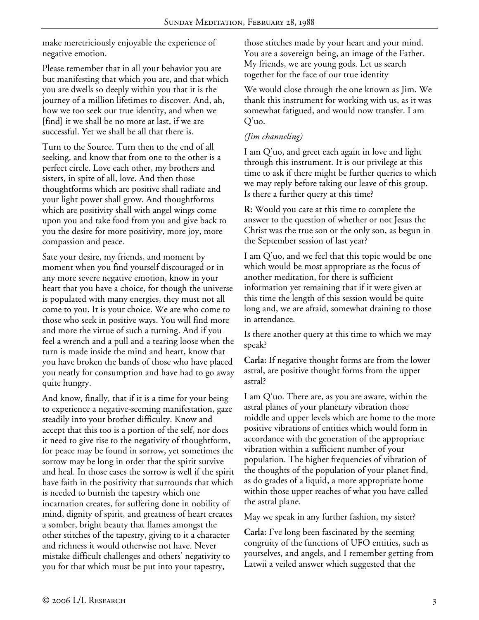make meretriciously enjoyable the experience of negative emotion.

Please remember that in all your behavior you are but manifesting that which you are, and that which you are dwells so deeply within you that it is the journey of a million lifetimes to discover. And, ah, how we too seek our true identity, and when we [find] it we shall be no more at last, if we are successful. Yet we shall be all that there is.

Turn to the Source. Turn then to the end of all seeking, and know that from one to the other is a perfect circle. Love each other, my brothers and sisters, in spite of all, love. And then those thoughtforms which are positive shall radiate and your light power shall grow. And thoughtforms which are positivity shall with angel wings come upon you and take food from you and give back to you the desire for more positivity, more joy, more compassion and peace.

Sate your desire, my friends, and moment by moment when you find yourself discouraged or in any more severe negative emotion, know in your heart that you have a choice, for though the universe is populated with many energies, they must not all come to you. It is your choice. We are who come to those who seek in positive ways. You will find more and more the virtue of such a turning. And if you feel a wrench and a pull and a tearing loose when the turn is made inside the mind and heart, know that you have broken the bands of those who have placed you neatly for consumption and have had to go away quite hungry.

And know, finally, that if it is a time for your being to experience a negative-seeming manifestation, gaze steadily into your brother difficulty. Know and accept that this too is a portion of the self, nor does it need to give rise to the negativity of thoughtform, for peace may be found in sorrow, yet sometimes the sorrow may be long in order that the spirit survive and heal. In those cases the sorrow is well if the spirit have faith in the positivity that surrounds that which is needed to burnish the tapestry which one incarnation creates, for suffering done in nobility of mind, dignity of spirit, and greatness of heart creates a somber, bright beauty that flames amongst the other stitches of the tapestry, giving to it a character and richness it would otherwise not have. Never mistake difficult challenges and others' negativity to you for that which must be put into your tapestry,

those stitches made by your heart and your mind. You are a sovereign being, an image of the Father. My friends, we are young gods. Let us search together for the face of our true identity

We would close through the one known as Jim. We thank this instrument for working with us, as it was somewhat fatigued, and would now transfer. I am Q'uo.

## *(Jim channeling)*

I am Q'uo, and greet each again in love and light through this instrument. It is our privilege at this time to ask if there might be further queries to which we may reply before taking our leave of this group. Is there a further query at this time?

**R:** Would you care at this time to complete the answer to the question of whether or not Jesus the Christ was the true son or the only son, as begun in the September session of last year?

I am Q'uo, and we feel that this topic would be one which would be most appropriate as the focus of another meditation, for there is sufficient information yet remaining that if it were given at this time the length of this session would be quite long and, we are afraid, somewhat draining to those in attendance.

Is there another query at this time to which we may speak?

**Carla:** If negative thought forms are from the lower astral, are positive thought forms from the upper astral?

I am Q'uo. There are, as you are aware, within the astral planes of your planetary vibration those middle and upper levels which are home to the more positive vibrations of entities which would form in accordance with the generation of the appropriate vibration within a sufficient number of your population. The higher frequencies of vibration of the thoughts of the population of your planet find, as do grades of a liquid, a more appropriate home within those upper reaches of what you have called the astral plane.

May we speak in any further fashion, my sister?

**Carla:** I've long been fascinated by the seeming congruity of the functions of UFO entities, such as yourselves, and angels, and I remember getting from Latwii a veiled answer which suggested that the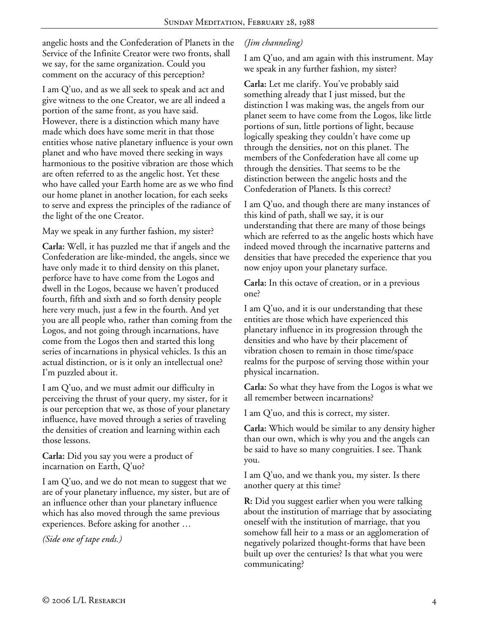angelic hosts and the Confederation of Planets in the Service of the Infinite Creator were two fronts, shall we say, for the same organization. Could you comment on the accuracy of this perception?

I am Q'uo, and as we all seek to speak and act and give witness to the one Creator, we are all indeed a portion of the same front, as you have said. However, there is a distinction which many have made which does have some merit in that those entities whose native planetary influence is your own planet and who have moved there seeking in ways harmonious to the positive vibration are those which are often referred to as the angelic host. Yet these who have called your Earth home are as we who find our home planet in another location, for each seeks to serve and express the principles of the radiance of the light of the one Creator.

May we speak in any further fashion, my sister?

**Carla:** Well, it has puzzled me that if angels and the Confederation are like-minded, the angels, since we have only made it to third density on this planet, perforce have to have come from the Logos and dwell in the Logos, because we haven't produced fourth, fifth and sixth and so forth density people here very much, just a few in the fourth. And yet you are all people who, rather than coming from the Logos, and not going through incarnations, have come from the Logos then and started this long series of incarnations in physical vehicles. Is this an actual distinction, or is it only an intellectual one? I'm puzzled about it.

I am Q'uo, and we must admit our difficulty in perceiving the thrust of your query, my sister, for it is our perception that we, as those of your planetary influence, have moved through a series of traveling the densities of creation and learning within each those lessons.

**Carla:** Did you say you were a product of incarnation on Earth, Q'uo?

I am Q'uo, and we do not mean to suggest that we are of your planetary influence, my sister, but are of an influence other than your planetary influence which has also moved through the same previous experiences. Before asking for another …

*(Side one of tape ends.)* 

# *(Jim channeling)*

I am Q'uo, and am again with this instrument. May we speak in any further fashion, my sister?

**Carla:** Let me clarify. You've probably said something already that I just missed, but the distinction I was making was, the angels from our planet seem to have come from the Logos, like little portions of sun, little portions of light, because logically speaking they couldn't have come up through the densities, not on this planet. The members of the Confederation have all come up through the densities. That seems to be the distinction between the angelic hosts and the Confederation of Planets. Is this correct?

I am Q'uo, and though there are many instances of this kind of path, shall we say, it is our understanding that there are many of those beings which are referred to as the angelic hosts which have indeed moved through the incarnative patterns and densities that have preceded the experience that you now enjoy upon your planetary surface.

**Carla:** In this octave of creation, or in a previous one?

I am Q'uo, and it is our understanding that these entities are those which have experienced this planetary influence in its progression through the densities and who have by their placement of vibration chosen to remain in those time/space realms for the purpose of serving those within your physical incarnation.

**Carla:** So what they have from the Logos is what we all remember between incarnations?

I am Q'uo, and this is correct, my sister.

**Carla:** Which would be similar to any density higher than our own, which is why you and the angels can be said to have so many congruities. I see. Thank you.

I am Q'uo, and we thank you, my sister. Is there another query at this time?

**R:** Did you suggest earlier when you were talking about the institution of marriage that by associating oneself with the institution of marriage, that you somehow fall heir to a mass or an agglomeration of negatively polarized thought-forms that have been built up over the centuries? Is that what you were communicating?